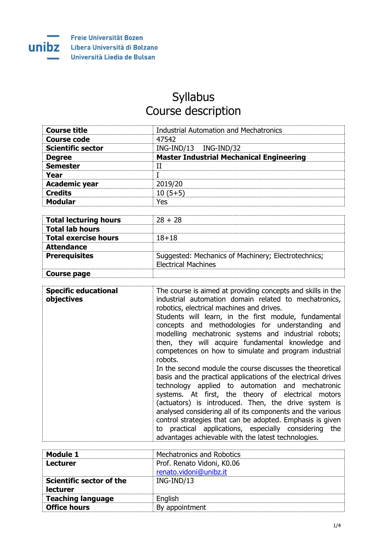

## **Syllabus** Course description

| <b>Course title</b>      | <b>Industrial Automation and Mechatronics</b>   |
|--------------------------|-------------------------------------------------|
| Course code              | 47542                                           |
| <b>Scientific sector</b> | ING-IND/13 ING-IND/32                           |
| <b>Degree</b>            | <b>Master Industrial Mechanical Engineering</b> |
| <b>Semester</b>          |                                                 |
| Year                     |                                                 |
| <b>Academic year</b>     | 2019/20                                         |
| <b>Credits</b>           | $10(5+5)$                                       |
| <b>Modular</b>           | Yes                                             |

| <b>Total lecturing hours</b> | $28 + 28$                                                                         |
|------------------------------|-----------------------------------------------------------------------------------|
| <b>Total lab hours</b>       |                                                                                   |
| <b>Total exercise hours</b>  | $18 + 18$                                                                         |
| <b>Attendance</b>            |                                                                                   |
| <b>Prerequisites</b>         | Suggested: Mechanics of Machinery; Electrotechnics;<br><b>Electrical Machines</b> |
| Course page                  |                                                                                   |

| <b>Specific educational</b><br>objectives | The course is aimed at providing concepts and skills in the<br>industrial automation domain related to mechatronics,<br>robotics, electrical machines and drives.<br>Students will learn, in the first module, fundamental<br>concepts and methodologies for understanding and<br>modelling mechatronic systems and industrial robots;<br>then, they will acquire fundamental knowledge and<br>competences on how to simulate and program industrial<br>robots.                                                                         |
|-------------------------------------------|-----------------------------------------------------------------------------------------------------------------------------------------------------------------------------------------------------------------------------------------------------------------------------------------------------------------------------------------------------------------------------------------------------------------------------------------------------------------------------------------------------------------------------------------|
|                                           | In the second module the course discusses the theoretical<br>basis and the practical applications of the electrical drives<br>technology applied to automation and mechatronic<br>systems. At first, the theory of electrical motors<br>(actuators) is introduced. Then, the drive system is<br>analysed considering all of its components and the various<br>control strategies that can be adopted. Emphasis is given<br>to practical applications, especially considering the<br>advantages achievable with the latest technologies. |

| Module 1                                    | Mechatronics and Robotics                            |
|---------------------------------------------|------------------------------------------------------|
| Lecturer                                    | Prof. Renato Vidoni, K0.06<br>renato.vidoni@unibz.it |
| <b>Scientific sector of the</b><br>lecturer | $ING-IND/13$                                         |
| <b>Teaching language</b>                    | English                                              |
| <b>Office hours</b>                         | By appointment                                       |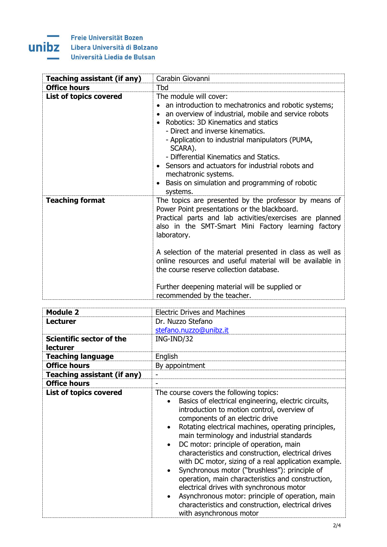## E. ÷

Freie Universität Bozen **UNIDZ** Libera Università di Bolzano Università Liedia de Bulsan

| <b>Teaching assistant (if any)</b> | Carabin Giovanni                                                                                                                                                                                                                                                                                                                                                                                                                                                                              |
|------------------------------------|-----------------------------------------------------------------------------------------------------------------------------------------------------------------------------------------------------------------------------------------------------------------------------------------------------------------------------------------------------------------------------------------------------------------------------------------------------------------------------------------------|
| <b>Office hours</b>                | Tbd                                                                                                                                                                                                                                                                                                                                                                                                                                                                                           |
| <b>List of topics covered</b>      | The module will cover:<br>an introduction to mechatronics and robotic systems;<br>an overview of industrial, mobile and service robots<br>Robotics: 3D Kinematics and statics<br>$\bullet$<br>- Direct and inverse kinematics.<br>- Application to industrial manipulators (PUMA,<br>SCARA).<br>- Differential Kinematics and Statics.<br>• Sensors and actuators for industrial robots and<br>mechatronic systems.<br>Basis on simulation and programming of robotic<br>systems.             |
| <b>Teaching format</b>             | The topics are presented by the professor by means of<br>Power Point presentations or the blackboard.<br>Practical parts and lab activities/exercises are planned<br>also in the SMT-Smart Mini Factory learning factory<br>laboratory.<br>A selection of the material presented in class as well as<br>online resources and useful material will be available in<br>the course reserve collection database.<br>Further deepening material will be supplied or<br>recommended by the teacher. |

| <b>Module 2</b>               | <b>Electric Drives and Machines</b>                                                                                                                                                                                                                                                                                                                                                                                                                                                                                                                                                                                                                                                                                                    |
|-------------------------------|----------------------------------------------------------------------------------------------------------------------------------------------------------------------------------------------------------------------------------------------------------------------------------------------------------------------------------------------------------------------------------------------------------------------------------------------------------------------------------------------------------------------------------------------------------------------------------------------------------------------------------------------------------------------------------------------------------------------------------------|
| <b>Lecturer</b>               | Dr. Nuzzo Stefano                                                                                                                                                                                                                                                                                                                                                                                                                                                                                                                                                                                                                                                                                                                      |
|                               | stefano.nuzzo@unibz.it                                                                                                                                                                                                                                                                                                                                                                                                                                                                                                                                                                                                                                                                                                                 |
| Scientific sector of the      | ING-IND/32                                                                                                                                                                                                                                                                                                                                                                                                                                                                                                                                                                                                                                                                                                                             |
| lecturer                      |                                                                                                                                                                                                                                                                                                                                                                                                                                                                                                                                                                                                                                                                                                                                        |
| <b>Teaching language</b>      | English                                                                                                                                                                                                                                                                                                                                                                                                                                                                                                                                                                                                                                                                                                                                |
| <b>Office hours</b>           | By appointment                                                                                                                                                                                                                                                                                                                                                                                                                                                                                                                                                                                                                                                                                                                         |
| Teaching assistant (if any)   | $\overline{\phantom{0}}$                                                                                                                                                                                                                                                                                                                                                                                                                                                                                                                                                                                                                                                                                                               |
| <b>Office hours</b>           |                                                                                                                                                                                                                                                                                                                                                                                                                                                                                                                                                                                                                                                                                                                                        |
| <b>List of topics covered</b> | The course covers the following topics:<br>Basics of electrical engineering, electric circuits,<br>introduction to motion control, overview of<br>components of an electric drive<br>Rotating electrical machines, operating principles,<br>main terminology and industrial standards<br>DC motor: principle of operation, main<br>characteristics and construction, electrical drives<br>with DC motor, sizing of a real application example.<br>Synchronous motor ("brushless"): principle of<br>operation, main characteristics and construction,<br>electrical drives with synchronous motor<br>Asynchronous motor: principle of operation, main<br>characteristics and construction, electrical drives<br>with asynchronous motor |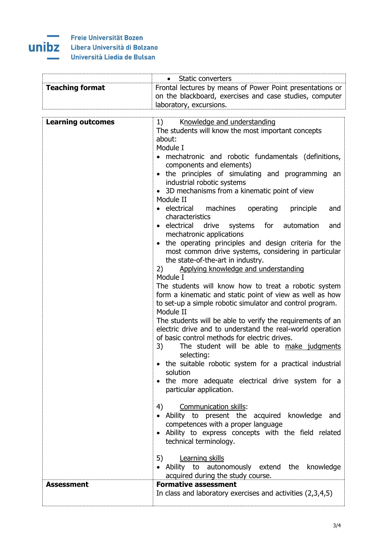

|                          | Static converters                                                                                                                                                                                                                                                                                                                                                                                                                                                                                                                                                                                                                                                                                                                                                                                                                                                                                                                                                                                                                                                                                                                                                                                                                                                             |
|--------------------------|-------------------------------------------------------------------------------------------------------------------------------------------------------------------------------------------------------------------------------------------------------------------------------------------------------------------------------------------------------------------------------------------------------------------------------------------------------------------------------------------------------------------------------------------------------------------------------------------------------------------------------------------------------------------------------------------------------------------------------------------------------------------------------------------------------------------------------------------------------------------------------------------------------------------------------------------------------------------------------------------------------------------------------------------------------------------------------------------------------------------------------------------------------------------------------------------------------------------------------------------------------------------------------|
| <b>Teaching format</b>   | Frontal lectures by means of Power Point presentations or<br>on the blackboard, exercises and case studies, computer                                                                                                                                                                                                                                                                                                                                                                                                                                                                                                                                                                                                                                                                                                                                                                                                                                                                                                                                                                                                                                                                                                                                                          |
|                          |                                                                                                                                                                                                                                                                                                                                                                                                                                                                                                                                                                                                                                                                                                                                                                                                                                                                                                                                                                                                                                                                                                                                                                                                                                                                               |
| <b>Learning outcomes</b> | laboratory, excursions.<br>Knowledge and understanding<br>1)<br>The students will know the most important concepts<br>about:<br>Module I<br>mechatronic and robotic fundamentals (definitions,<br>components and elements)<br>• the principles of simulating and programming an<br>industrial robotic systems<br>• 3D mechanisms from a kinematic point of view<br>Module II<br>• electrical machines<br>operating<br>principle<br>and<br>characteristics<br>• electrical drive systems for automation<br>and<br>mechatronic applications<br>the operating principles and design criteria for the<br>$\bullet$<br>most common drive systems, considering in particular<br>the state-of-the-art in industry.<br>Applying knowledge and understanding<br>2)<br>Module I<br>The students will know how to treat a robotic system<br>form a kinematic and static point of view as well as how<br>to set-up a simple robotic simulator and control program.<br>Module II<br>The students will be able to verify the requirements of an<br>electric drive and to understand the real-world operation<br>of basic control methods for electric drives.<br>3)<br>The student will be able to make judgments<br>selecting:<br>• the suitable robotic system for a practical industrial |
|                          | solution<br>the more adequate electrical drive system for a<br>$\bullet$<br>particular application.                                                                                                                                                                                                                                                                                                                                                                                                                                                                                                                                                                                                                                                                                                                                                                                                                                                                                                                                                                                                                                                                                                                                                                           |
|                          | Communication skills:<br>4)<br>• Ability to present the acquired knowledge and<br>competences with a proper language<br>· Ability to express concepts with the field related<br>technical terminology.                                                                                                                                                                                                                                                                                                                                                                                                                                                                                                                                                                                                                                                                                                                                                                                                                                                                                                                                                                                                                                                                        |
|                          | <b>Learning skills</b><br>5)<br>• Ability to autonomously extend the knowledge<br>acquired during the study course.                                                                                                                                                                                                                                                                                                                                                                                                                                                                                                                                                                                                                                                                                                                                                                                                                                                                                                                                                                                                                                                                                                                                                           |
| <b>Assessment</b>        | <b>Formative assessment</b><br>In class and laboratory exercises and activities (2,3,4,5)                                                                                                                                                                                                                                                                                                                                                                                                                                                                                                                                                                                                                                                                                                                                                                                                                                                                                                                                                                                                                                                                                                                                                                                     |